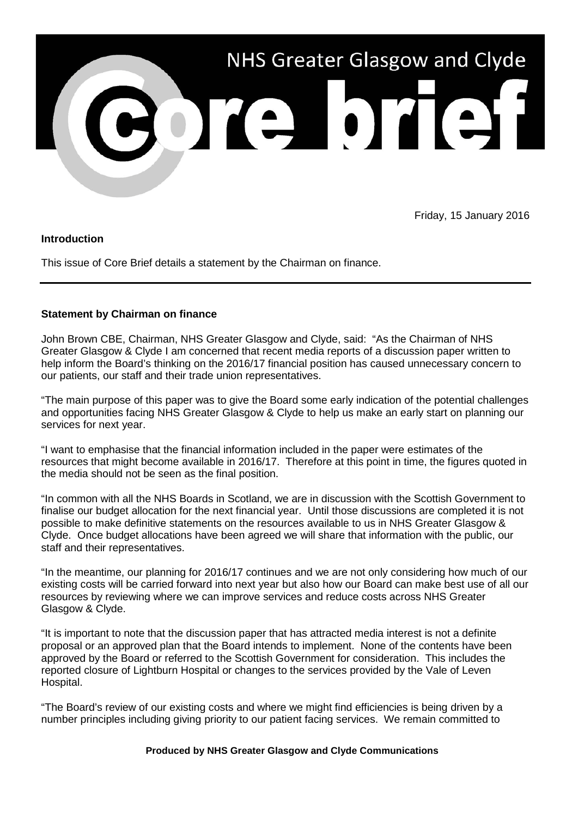

Friday, 15 January 2016

## **Introduction**

This issue of Core Brief details a statement by the Chairman on finance.

## **Statement by Chairman on finance**

John Brown CBE, Chairman, NHS Greater Glasgow and Clyde, said: "As the Chairman of NHS Greater Glasgow & Clyde I am concerned that recent media reports of a discussion paper written to help inform the Board's thinking on the 2016/17 financial position has caused unnecessary concern to our patients, our staff and their trade union representatives.

"The main purpose of this paper was to give the Board some early indication of the potential challenges and opportunities facing NHS Greater Glasgow & Clyde to help us make an early start on planning our services for next year.

"I want to emphasise that the financial information included in the paper were estimates of the resources that might become available in 2016/17. Therefore at this point in time, the figures quoted in the media should not be seen as the final position.

"In common with all the NHS Boards in Scotland, we are in discussion with the Scottish Government to finalise our budget allocation for the next financial year. Until those discussions are completed it is not possible to make definitive statements on the resources available to us in NHS Greater Glasgow & Clyde. Once budget allocations have been agreed we will share that information with the public, our staff and their representatives.

"In the meantime, our planning for 2016/17 continues and we are not only considering how much of our existing costs will be carried forward into next year but also how our Board can make best use of all our resources by reviewing where we can improve services and reduce costs across NHS Greater Glasgow & Clyde.

"It is important to note that the discussion paper that has attracted media interest is not a definite proposal or an approved plan that the Board intends to implement. None of the contents have been approved by the Board or referred to the Scottish Government for consideration. This includes the reported closure of Lightburn Hospital or changes to the services provided by the Vale of Leven Hospital.

"The Board's review of our existing costs and where we might find efficiencies is being driven by a number principles including giving priority to our patient facing services. We remain committed to

## **Produced by NHS Greater Glasgow and Clyde Communications**